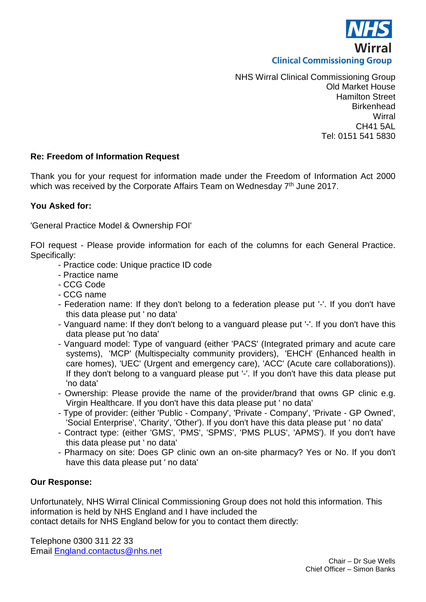

NHS Wirral Clinical Commissioning Group Old Market House Hamilton Street **Birkenhead Wirral** CH41 5AL Tel: 0151 541 5830

## **Re: Freedom of Information Request**

Thank you for your request for information made under the Freedom of Information Act 2000 which was received by the Corporate Affairs Team on Wednesday 7<sup>th</sup> June 2017.

## **You Asked for:**

'General Practice Model & Ownership FOI'

FOI request - Please provide information for each of the columns for each General Practice. Specifically:

- Practice code: Unique practice ID code
- Practice name
- CCG Code
- CCG name
- Federation name: If they don't belong to a federation please put '-'. If you don't have this data please put ' no data'
- Vanguard name: If they don't belong to a vanguard please put '-'. If you don't have this data please put 'no data'
- Vanguard model: Type of vanguard (either 'PACS' (Integrated primary and acute care systems), 'MCP' (Multispecialty community providers), 'EHCH' (Enhanced health in care homes), 'UEC' (Urgent and emergency care), 'ACC' (Acute care collaborations)). If they don't belong to a vanguard please put '-'. If you don't have this data please put 'no data'
- Ownership: Please provide the name of the provider/brand that owns GP clinic e.g. Virgin Healthcare. If you don't have this data please put ' no data'
- Type of provider: (either 'Public Company', 'Private Company', 'Private GP Owned', 'Social Enterprise', 'Charity', 'Other'). If you don't have this data please put ' no data'
- Contract type: (either 'GMS', 'PMS', 'SPMS', 'PMS PLUS', 'APMS'). If you don't have this data please put ' no data'
- Pharmacy on site: Does GP clinic own an on-site pharmacy? Yes or No. If you don't have this data please put ' no data'

## **Our Response:**

Unfortunately, NHS Wirral Clinical Commissioning Group does not hold this information. This information is held by NHS England and I have included the

contact details for NHS England below for you to contact them directly:

Telephone 0300 311 22 33 Email [England.contactus@nhs.net](mailto:England.contactus@nhs.net)